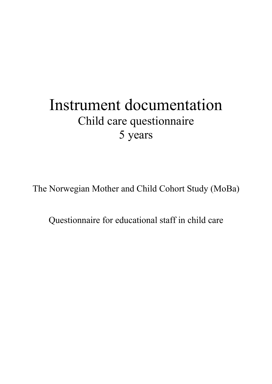# Instrument documentation Child care questionnaire 5 years

The Norwegian Mother and Child Cohort Study (MoBa)

Questionnaire for educational staff in child care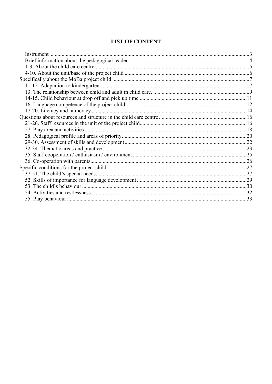# **LIST OF CONTENT**

| Instrument. |  |
|-------------|--|
|             |  |
|             |  |
|             |  |
|             |  |
|             |  |
|             |  |
|             |  |
|             |  |
|             |  |
|             |  |
|             |  |
|             |  |
|             |  |
|             |  |
|             |  |
|             |  |
|             |  |
|             |  |
|             |  |
|             |  |
|             |  |
|             |  |
|             |  |
|             |  |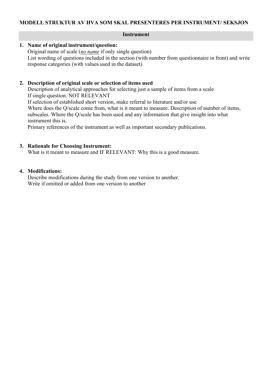#### **Instrument**

# <span id="page-2-0"></span>**1. Name of original instrument/question:**

Original name of scale (*no name* if only single question) List wording of questions included in the section (with number from questionnaire in front) and write response categories (with values used in the dataset)

# **2. Description of original scale or selection of items used**

Description of analytical approaches for selecting just a sample of items from a scale If single question. NOT RELEVANT

If selection of established short version, make referral to literature and/or use Where does the Q/scale come from, what is it meant to measure. Description of number of items, subscales. Where the Q/scale has been used and any information that give insight into what instrument this is.

Primary references of the instrument as well as important secondary publications.

# **3. Rationale for Choosing Instrument:**

What is it meant to measure and IF RELEVANT: Why this is a good measure.

# **4. Modifications:**

Describe modifications during the study from one version to another. Write if omitted or added from one version to another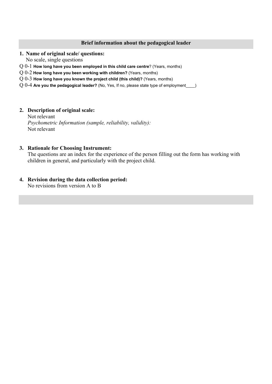# **Brief information about the pedagogical leader**

# <span id="page-3-0"></span>**1. Name of original scale/ questions:**

No scale, single questions

- Q 0-1 **How long have you been employed in this child care centre**? (Years, months)
- Q 0-2 **How long have you been working with children?** (Years, months)
- Q 0-3 **How long have you known the project child (this child)?** (Years, months)
- Q 0-4 **Are you the pedagogical leader?** (No, Yes, If no, please state type of employment\_\_\_\_)

# **2. Description of original scale:**

Not relevant *Psychometric Information (sample, reliability, validity):* Not relevant

# **3. Rationale for Choosing Instrument:**

The questions are an index for the experience of the person filling out the form has working with children in general, and particularly with the project child.

# **4. Revision during the data collection period:**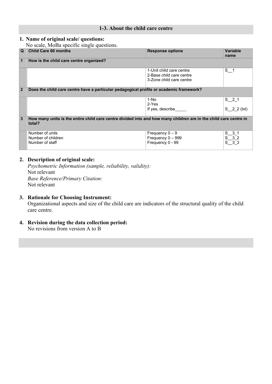# **1-3. About the child care centre**

# <span id="page-4-0"></span>**1. Name of original scale/ questions:**

No scale, MoBa specific single questions.

| Q              | 110 Searcy 1.1820 Specified Single specificities<br><b>Child Care 60 months</b> | <b>Response options</b>                                                                                           | Variable<br>name |
|----------------|---------------------------------------------------------------------------------|-------------------------------------------------------------------------------------------------------------------|------------------|
| 1              | How is the child care centre organized?                                         |                                                                                                                   |                  |
|                |                                                                                 | 1-Unit child care centre<br>2-Base child care centre<br>3-Zone child care centre                                  | $S_{1}$          |
| $\overline{2}$ |                                                                                 | Does the child care centre have a particular pedagogical profile or academic framework?                           |                  |
|                |                                                                                 | 1-No<br>2-Yes                                                                                                     | $S_2$ 1          |
|                | If yes, describe                                                                |                                                                                                                   | $S_2$ 2 (txt)    |
| 3              | total?                                                                          | How many units is the entire child care centre divided into and how many children are in the child care centre in |                  |
|                | Number of units<br>Number of children                                           | Frequency $0 - 9$<br>Frequency $0 - 999$                                                                          |                  |
|                | Number of staff                                                                 | Frequency 0 - 99                                                                                                  |                  |

# **2. Description of original scale:**

*Psychometric Information (sample, reliability, validity):* Not relevant *Base Reference/Primary Citation:* Not relevant

# **3. Rationale for Choosing Instrument:** Organizational aspects and size of the child care are indicators of the structural quality of the child care centre.

# **4. Revision during the data collection period:** No revisions from version A to B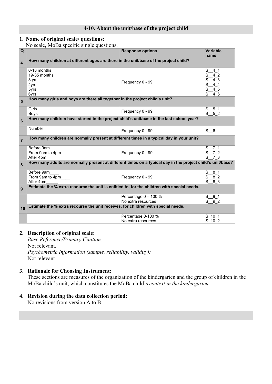#### **4-10. About the unit/base of the project child**

# <span id="page-5-0"></span>**1. Name of original scale/ questions:**

No scale, MoBa specific single questions.

| Q                       |                                                                                                            | <b>Response options</b>                    | <b>Variable</b><br>name                                       |
|-------------------------|------------------------------------------------------------------------------------------------------------|--------------------------------------------|---------------------------------------------------------------|
| $\overline{\mathbf{4}}$ | How many children at different ages are there in the unit/base of the project child?                       |                                            |                                                               |
|                         | 0-18 months<br>19-35 months<br>3 yrs<br>4yrs<br>5yrs<br>6yrs                                               | Frequency 0 - 99                           | S<br>41<br>4 2<br>S<br>4 3<br>S<br>44<br>S<br>4 5<br>S<br>4 6 |
| 5                       | How many girls and boys are there all together in the project child's unit?                                |                                            |                                                               |
|                         | Girls<br>Boys                                                                                              | Frequency 0 - 99                           | S <sub>51</sub><br>$S$ 5 2                                    |
| 6                       | How many children have started in the project child's unit/base in the last school year?                   |                                            |                                                               |
|                         | Number                                                                                                     | Frequency 0 - 99                           | S <sub>6</sub>                                                |
| $\overline{7}$          | How many children are normally present at different times in a typical day in your unit?                   |                                            |                                                               |
|                         | Before 9am<br>From 9am to 4pm<br>After 4pm                                                                 | Frequency 0 - 99                           | S 7 1<br>S 7 2<br>$^{-7}$ 3<br>S                              |
| 8                       | How many adults are normally present at different times on a typical day in the project child's unit/base? |                                            |                                                               |
|                         | Before 9am<br>From 9am to 4pm<br>After 4pm                                                                 | Frequency 0 - 99                           | $S$ 8 1<br>82<br>S<br>$S\left 8\right 3$                      |
| 9                       | Estimate the % extra resource the unit is entitled to, for the children with special needs.                |                                            |                                                               |
|                         |                                                                                                            | Percentage 0 - 100 %<br>No extra resources | $S_{91}$<br>$S^{0}9^{0}2$                                     |
| 10                      | Estimate the % extra recourse the unit receives, for children with special needs.                          |                                            |                                                               |
|                         |                                                                                                            | Percentage 0-100 %<br>No extra resources   | S 10 1<br>$S^{-}$ 10 $^{-}$ 2                                 |

#### **2. Description of original scale:**

*Base Reference/Primary Citation:* Not relevant. *Psychometric Information (sample, reliability, validity):* Not relevant

# **3. Rationale for Choosing Instrument:**

These sections are measures of the organization of the kindergarten and the group of children in the MoBa child's unit, which constitutes the MoBa child's *context in the kindergarten*.

# **4. Revision during the data collection period:**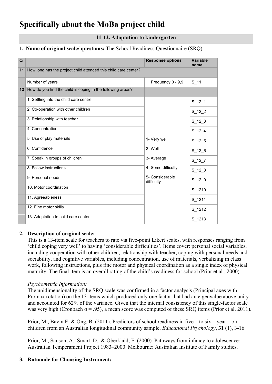# <span id="page-6-1"></span><span id="page-6-0"></span>**Specifically about the MoBa project child**

# **11-12. Adaptation to kindergarten**

# **1. Name of original scale/ questions:** The School Readiness Questionnaire (SRQ)

| Q               |                                                                 | <b>Response options</b>       | <b>Variable</b><br>name |
|-----------------|-----------------------------------------------------------------|-------------------------------|-------------------------|
| 11              | How long has the project child attended this child care center? |                               |                         |
|                 | Number of years                                                 | Frequency 0 - 9,9             | S 11                    |
| 12 <sup>1</sup> | How do you find the child is coping in the following areas?     |                               |                         |
|                 | 1. Settling into the child care centre                          |                               | $S_12_1$                |
|                 | 2. Co-operation with other children                             |                               | $S_12_2$                |
|                 | 3. Relationship with teacher                                    |                               | $S_12_3$                |
|                 | 4. Concentration                                                |                               | $S_{12-4}$              |
|                 | 5. Use of play materials                                        | 1- Very well<br>2- Well       | $S_12_5$                |
|                 | 6. Confidence                                                   |                               | $S_12_6$                |
|                 | 7. Speak in groups of children                                  | 3- Average                    | $S_12_7$                |
|                 | 8. Follow instructions                                          | 4- Some difficulty            | $S_12_8$                |
|                 | 9. Personal needs                                               | 5- Considerable<br>difficulty | $S_12_9$                |
|                 | 10. Motor coordination                                          |                               | S 1210                  |
|                 | 11. Agreeableness                                               |                               | S 1211                  |
|                 | 12. Fine motor skills                                           |                               | $S_1212$                |
|                 | 13. Adaptation to child care center                             |                               | $S_1213$                |

# **2. Description of original scale:**

This is a 13-item scale for teachers to rate via five-point Likert scales, with responses ranging from 'child coping very well' to having 'considerable difficulties'. Items cover: personal social variables, including cooperation with other children, relationship with teacher, coping with personal needs and sociability, and cognitive variables, including concentration, use of materials, verbalizing in class work, following instructions, plus fine motor and physical coordination as a single index of physical maturity. The final item is an overall rating of the child's readiness for school (Prior et al., 2000).

# *Psychometric Information:*

The unidimensionality of the SRQ scale was confirmed in a factor analysis (Principal axes with Promax rotation) on the 13 items which produced only one factor that had an eigenvalue above unity and accounted for 62% of the variance. Given that the internal consistency of this single-factor scale was very high (Cronbach  $\alpha = .95$ ), a mean score was computed of these SRQ items (Prior et al, 2011).

Prior, M., Bavin E. & Ong, B. (2011). Predictors of school readiness in five – to six – year – old children from an Australian longitudinal community sample. *Educational Psychology*, **31** (1), 3-16.

Prior, M., Sanson, A., Smart, D., & Oberklaid, F. (2000). Pathways from infancy to adolescence: Australian Temperament Project 1983–2000. Melbourne: Australian Institute of Family studies.

# **3. Rationale for Choosing Instrument:**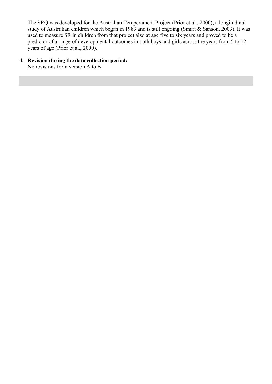The SRQ was developed for the Australian Temperament Project (Prior et al., 2000), a longitudinal study of Australian children which began in 1983 and is still ongoing (Smart & Sanson, 2003). It was used to measure SR in children from that project also at age five to six years and proved to be a predictor of a range of developmental outcomes in both boys and girls across the years from 5 to 12 years of age (Prior et al., 2000).

# **4. Revision during the data collection period:**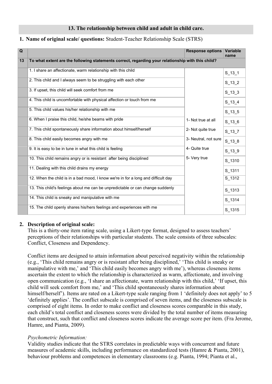#### **13. The relationship between child and adult in child care.**

#### <span id="page-8-0"></span>**1. Name of original scale/ questions:** Student-Teacher Relationship Scale (STRS)

| $\overline{Q}$ |                                                                                                   | <b>Response options</b> | Variable<br>name |
|----------------|---------------------------------------------------------------------------------------------------|-------------------------|------------------|
| 13             | To what extent are the following statements correct, regarding your relationship with this child? |                         |                  |
|                | 1. I share an affectionate, warm relationship with this child                                     |                         | $S_13_1$         |
|                | 2. This child and I always seem to be struggling with each other                                  |                         | $S_13_2$         |
|                | 3. If upset, this child will seek comfort from me                                                 |                         | $S_13_3$         |
|                | 4. This child is uncomfortable with physical affection or touch from me                           |                         | $S_{13_4}$       |
|                | 5. This child values his/her relationship with me                                                 |                         | $S_13_5$         |
|                | 6. When I praise this child, he/she beams with pride                                              | 1- Not true at all      | $S_13_6$         |
|                | 7. This child spontaneously share information about himself/herself                               | 2- Not quite true       | $S_13_7$         |
|                | 8. This child easily becomes angry with me                                                        | 3- Neutral, not sure    | $S_13_8$         |
|                | 9. It is easy to be in tune in what this child is feeling                                         | 4- Quite true           | $S_13_9$         |
|                | 10. This child remains angry or is resistant after being disciplined                              | 5- Very true            | S 1310           |
|                | 11. Dealing with this child drains my energy                                                      |                         | S 1311           |
|                | 12. When the child is in a bad mood, I know we're in for a long and difficult day                 |                         | S_1312           |
|                | 13. This child's feelings about me can be unpredictable or can change suddenly                    |                         | S_1313           |
|                | 14. This child is sneaky and manipulative with me                                                 |                         | S_1314           |
|                | 15. The child openly shares his/hers feelings and experiences with me                             |                         | S_1315           |

#### **2. Description of original scale:**

This is a thirty-one item rating scale, using a Likert-type format, designed to assess teachers' perceptions of their relationships with particular students. The scale consists of three subscales: Conflict, Closeness and Dependency.

Conflict items are designed to attain information about perceived negativity within the relationship (e.g., 'This child remains angry or is resistant after being disciplined,' 'This child is sneaky or manipulative with me,' and 'This child easily becomes angry with me'), whereas closeness items ascertain the extent to which the relationship is characterized as warm, affectionate, and involving open communication (e.g., 'I share an affectionate, warm relationship with this child,' 'If upset, this child will seek comfort from me,' and 'This child spontaneously shares information about himself/herself'). Items are rated on a Likert-type scale ranging from 1 'definitely does not apply' to 5 'definitely applies'. The conflict subscale is comprised of seven items, and the closeness subscale is comprised of eight items. In order to make conflict and closeness scores comparable in this study, each child's total conflict and closeness scores were divided by the total number of items measuring that construct, such that conflict and closeness scores indicate the average score per item. (Fra Jerome, Hamre, and Pianta, 2009).

#### *Psychometric Information:*

Validity studies indicate that the STRS correlates in predictable ways with concurrent and future measures of academic skills, including performance on standardized tests (Hamre & Pianta, 2001), behaviour problems and competences in elementary classrooms (e.g. Pianta, 1994; Pianta et al.,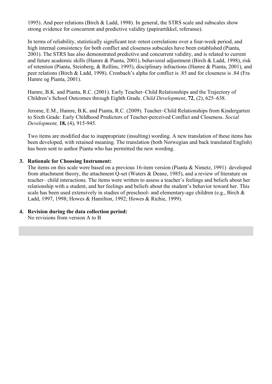1995). And peer relations (Birch & Ladd, 1998). In general, the STRS scale and subscales show strong evidence for concurrent and predictive validity (papirartikkel, referanse).

In terms of reliability, statistically significant test–retest correlations over a four-week period, and high internal consistency for both conflict and closeness subscales have been established (Pianta, 2001). The STRS has also demonstrated predictive and concurrent validity, and is related to current and future academic skills (Hamre & Pianta, 2001), behavioral adjustment (Birch & Ladd, 1998), risk of retention (Pianta, Steinberg, & Rollins, 1995), disciplinary infractions (Hamre & Pianta, 2001), and peer relations (Birch & Ladd, 1998). Cronbach's alpha for conflict is .85 and for closeness is .84 (Fra Hamre og Pianta, 2001).

Hamre, B.K. and Pianta, R.C. (2001). Early Teacher–Child Relationships and the Trajectory of Children's School Outcomes through Eighth Grade. *Child Development*, **72**, (2), 625–638.

Jerome, E.M., Hamre, B.K. and Pianta, R.C. (2009). Teacher–Child Relationships from Kindergarten to Sixth Grade: Early Childhood Predictors of Teacher-perceived Conflict and Closeness. *[Social](http://onlinelibrary.wiley.com/journal/10.1111/(ISSN)1467-9507)  [Development,](http://onlinelibrary.wiley.com/journal/10.1111/(ISSN)1467-9507)* **[18,](http://onlinelibrary.wiley.com/doi/10.1111/sode.2009.18.issue-4/issuetoc)** (4), 915-945.

Two items are modified due to inappropriate (insulting) wording. A new translation of these items has been developed, with retained meaning. The translation (both Norwegian and back translated English) has been sent to author Pianta who has permitted the new wording.

# **3. Rationale for Choosing Instrument:**

The items on this scale were based on a previous 16-item version (Pianta & Nimetz, 1991) developed from attachment theory, the attachment Q-set (Waters & Deane, 1985), and a review of literature on teacher– child interactions. The items were written to assess a teacher's feelings and beliefs about her relationship with a student, and her feelings and beliefs about the student's behavior toward her. This scale has been used extensively in studies of preschool- and elementary-age children (e.g., Birch & Ladd, 1997, 1998; Howes & Hamilton, 1992; Howes & Richie, 1999).

# **4. Revision during the data collection period:**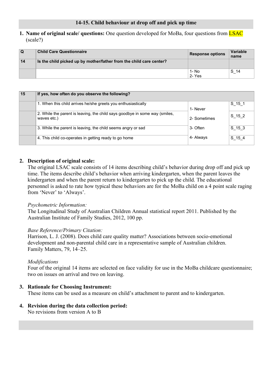# <span id="page-10-0"></span>**1. Name of original scale/ questions:** One question developed for MoBa, four questions from LSAC (scale?)

| $\Omega$ | <b>Child Care Questionnaire</b>                                     | <b>Response options</b> | Variable<br>name |
|----------|---------------------------------------------------------------------|-------------------------|------------------|
| 14       | Is the child picked up by mother/father from the child care center? |                         |                  |
|          |                                                                     | 1- No                   | S 14             |
|          |                                                                     | 2- Yes                  |                  |

| 15 | If yes, how often do you observe the following?                                            |              |             |
|----|--------------------------------------------------------------------------------------------|--------------|-------------|
|    | 1. When this child arrives he/she greets you enthusiastically                              | 1- Never     | $S_{15}$ 15 |
|    | 2. While the parent is leaving, the child says goodbye in some way (smiles,<br>waves etc.) | 2- Sometimes | S 15 2      |
|    | 3. While the parent is leaving, the child seems angry or sad                               | 3- Often     | $S_15_3$    |
|    | 4. This child co-operates in getting ready to go home                                      | 4- Always    | S 15 4      |

# **2. Description of original scale:**

The original LSAC scale consists of 14 items describing child's behavior during drop off and pick up time. The items describe child's behavior when arriving kindergarten, when the parent leaves the kindergarten and when the parent return to kindergarten to pick up the child. The educational personnel is asked to rate how typical these behaviors are for the MoBa child on a 4 point scale raging from 'Never' to 'Always'.

# *Psychometric Information:*

The Longitudinal Study of Australian Children Annual statistical report 2011. Published by the Australian Institute of Family Studies, 2012, 100 pp.

# *Base Reference/Primary Citation:*

Harrison, L. J. (2008). Does child care quality matter? Associations between socio-emotional development and non-parental child care in a representative sample of Australian children. Family Matters, 79, 14–25.

# *Modifications*

Four of the original 14 items are selected on face validity for use in the MoBa childcare questionnaire; two on issues on arrival and two on leaving.

# **3. Rationale for Choosing Instrument:**

These items can be used as a measure on child's attachment to parent and to kindergarten.

# **4. Revision during the data collection period:**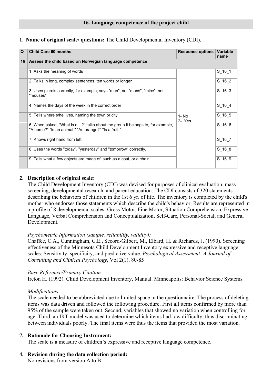# <span id="page-11-0"></span>**1. Name of original scale/ questions:** The Child Developmental Inventory (CDI).

| Q  | <b>Child Care 60 months</b>                                                                                                            | <b>Response options</b> | Variable<br>name |
|----|----------------------------------------------------------------------------------------------------------------------------------------|-------------------------|------------------|
| 16 | Assess the child based on Norwegian language competence                                                                                |                         |                  |
|    | 1. Asks the meaning of words                                                                                                           |                         | $S_16_1$         |
|    | 2. Talks in long, complex sentences, ten words or longer                                                                               |                         | $S_16_2$         |
|    | 3. Uses plurals correctly, for example, says "men", not "mans", "mice", not<br>"mouses"                                                |                         | $S_{16}$ 3       |
|    | 4. Names the days of the week in the correct order                                                                                     | 1- No<br>2- Yes         | S 16 4           |
|    | 5. Tells where s/he lives, naming the town or city                                                                                     |                         | S 16 5           |
|    | 6. When asked, "What is a?" talks about the group it belongs to, for example,<br>"A horse?" "Is an animal." "An orange?" "Is a fruit." |                         | $S_{166}$        |
|    | 7. Knows right hand from left.                                                                                                         |                         | $S_{16}$ 7       |
|    | 8. Uses the words "today", "yesterday" and "tomorrow" correctly.                                                                       |                         | $S_16_8$         |
|    | 9. Tells what a few objects are made of, such as a coat, or a chair.                                                                   |                         | S 16 9           |

# **2. Description of original scale:**

The Child Development Inventory (CDI) was devised for purposes of clinical evaluation, mass screening, developmental research, and parent education. The CDI consists of 320 statements describing the behaviors of children in the 1st 6 yr. of life. The inventory is completed by the child's mother who endorses those statements which describe the child's behavior. Results are represented in a profile of 8 developmental scales: Gross Motor, Fine Motor, Situation Comprehension, Expressive Language, Verbal Comprehension and Conceptualization, Self-Care, Personal-Social, and General Development.

# *Psychometric Information (sample, reliability, validity):*

[Chaffee, C.A.,](http://psycnet.apa.org/index.cfm?fa=search.searchResults&latSearchType=a&term=Chaffee,%20C.%20Anne) [Cunningham, C.E.,](http://psycnet.apa.org/index.cfm?fa=search.searchResults&latSearchType=a&term=Cunningham,%20Charles%20E.) [Secord-Gilbert, M.,](http://psycnet.apa.org/index.cfm?fa=search.searchResults&latSearchType=a&term=Secord-Gilbert,%20Margaret) [Elbard, H.](http://psycnet.apa.org/index.cfm?fa=search.searchResults&latSearchType=a&term=Elbard,%20Heather) & [Richards, J.](http://psycnet.apa.org/index.cfm?fa=search.searchResults&latSearchType=a&term=Richards,%20Joanne) (1990). Screening effectiveness of the Minnesota Child Development Inventory expressive and receptive language scales: Sensitivity, specificity, and predictive value. *Psychological Assessment: A Journal of Consulting and Clinical Psychology*, Vol 2(1), 80-85

# *Base Reference/Primary Citation:*

Ireton H. (1992). Child Development Inventory, Manual. Minneapolis: Behavior Science Systems.

# *Modifications*

The scale needed to be abbreviated due to limited space in the questionnaire. The process of deleting items was data driven and followed the following procedure. First all items confirmed by more than 95% of the sample were taken out. Second, variables that showed no variation when controlling for age. Third, an IRT model was used to determine which items had low difficulty, thus discriminating between individuals poorly. The final items were thus the items that provided the most variation.

# **7. Rationale for Choosing Instrument:**

The scale is a measure of children's expressive and receptive language competence.

# **4. Revision during the data collection period:**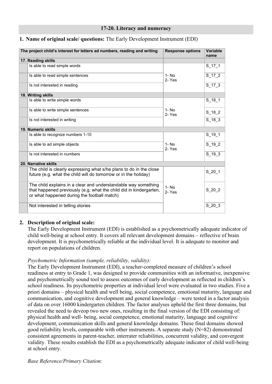#### **17-20. Literacy and numeracy**

# <span id="page-13-0"></span>**1. Name of original scale/ questions:** The Early Development Instrument (EDI)

| The project child's interest for letters ad numbers, reading and writing                                                                                                            | <b>Response options</b> | Variable<br>name |
|-------------------------------------------------------------------------------------------------------------------------------------------------------------------------------------|-------------------------|------------------|
| 17. Reading skills                                                                                                                                                                  |                         |                  |
| Is able to read simple words                                                                                                                                                        |                         | $S_{17}$ 17_1    |
| Is able to read simple sentences                                                                                                                                                    | $1 - No$<br>2-Yes       | $S_1$ 17 $_2$    |
| Is not interested in reading                                                                                                                                                        |                         | $S_1$ 17 $_3$    |
| 18. Writing skills                                                                                                                                                                  |                         |                  |
| Is able to write simple words                                                                                                                                                       |                         | $S_18_1$         |
| Is able to write simple sentences                                                                                                                                                   | $1 - No$<br>2-Yes       | $S_18_2$         |
| Is not interested in writing                                                                                                                                                        |                         | $S_18_3$         |
| 19. Numeric skills                                                                                                                                                                  |                         |                  |
| Is able to recognize numbers 1-10                                                                                                                                                   |                         | $S_{19-1}$       |
| Is able to ad simple objects                                                                                                                                                        | 1- No<br>2-Yes          | $S_19_2$         |
| Is not interested in numbers                                                                                                                                                        |                         | $S_19_3$         |
| 20. Narrative skills                                                                                                                                                                |                         |                  |
| The child is clearly expressing what s/he plans to do in the close<br>future (e.g. what the child will do tomorrow or in the holiday)                                               |                         | $S_2$ 20_1       |
| The child explains in a clear and understandable way something<br>that happened previously (e.g. what the child did in kindergarten,<br>or what happened during the football match) | $1 - No$<br>2-Yes       | $S_2$ 20 $2$     |
| Not interested in telling stories                                                                                                                                                   |                         | S 20 3           |

# **2. Description of original scale:**

The Early Development Instrument (EDI) is established as a psychometrically adequate indicator of child well-being at school entry. It covers all relevant development domains – reflective of brain development. It is psychometrically reliable at the individual level. It is adequate to monitor and report on populations of children.

# *Psychometric Information (sample, reliability, validity):*

The Early Development Instrument (EDI), a teacher-completed measure of children's school readiness at entry to Grade 1, was designed to provide communities with an informative, inexpensive and psychometrically sound tool to assess outcomes of early development as reflected in children's school readiness. Its psychometric properties at individual level were evaluated in two studies. Five a priori domains – physical health and well being, social competence, emotional maturity, language and communication, and cognitive development and general knowledge – were tested in a factor analysis of data on over 16000 kindergarten children. The factor analyses upheld the first three domains, but revealed the need to deveop two new ones, resulting in the final version of the EDI consisting of: physical health and well- being, social competence, emotional maturity, language and cognitive development, communication skills and general knowledge domains. These final domains showed good reliability levels, comparable with other instruments. A separate study (N=82) demonstrated consistent agreements in parent-teacher, interrater reliabilities, concurrent validity, and convergent validity. These results establish the EDI as a psychometrically adequate indicator of child well-being at school entry.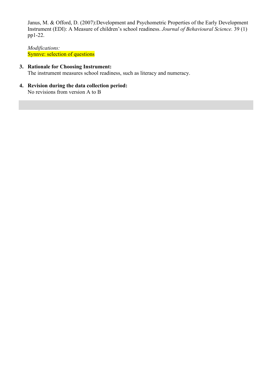Janus, M. & Offord, D. (2007):Development and Psychometric Properties of the Early Development Instrument (EDI): A Measure of children's school readiness. *Journal of Behavioural Science.* 39 (1) pp1-22.

*Modifications:* Synnve: selection of questions

# **3. Rationale for Choosing Instrument:**

The instrument measures school readiness, such as literacy and numeracy.

**4. Revision during the data collection period:** No revisions from version A to B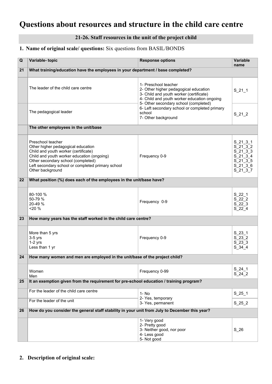# <span id="page-15-1"></span><span id="page-15-0"></span>**Questions about resources and structure in the child care centre**

# **21-26. Staff resources in the unit of the project child**

# **1. Name of original scale/ questions:** Six questions from BASIL/BONDS

| Q  | Variable-topic                                                                                                                                                                                                                                               | <b>Response options</b>                                                                                                                                                                          | <b>Variable</b><br>name                                                                                          |
|----|--------------------------------------------------------------------------------------------------------------------------------------------------------------------------------------------------------------------------------------------------------------|--------------------------------------------------------------------------------------------------------------------------------------------------------------------------------------------------|------------------------------------------------------------------------------------------------------------------|
| 21 | What training/education have the employees in your department / base completed?                                                                                                                                                                              |                                                                                                                                                                                                  |                                                                                                                  |
|    | The leader of the child care centre                                                                                                                                                                                                                          | 1- Preschool teacher<br>2- Other higher pedagogical education<br>3- Child and youth worker (certificate)<br>4- Child and youth worker education ongoing<br>5- Other secondary school (completed) | $S_21_1$                                                                                                         |
|    | The pedagogical leader                                                                                                                                                                                                                                       | 6- Left secondary school or completed primary<br>school<br>7- Other background                                                                                                                   | $S_21_2$                                                                                                         |
|    | The other employees in the unit/base                                                                                                                                                                                                                         |                                                                                                                                                                                                  |                                                                                                                  |
|    | Preschool teacher<br>Other higher pedagogical education<br>Child and youth worker (certificate)<br>Child and youth worker education (ongoing)<br>Other secondary school (completed)<br>Left secondary school or completed primary school<br>Other background | Frequency 0-9                                                                                                                                                                                    | $S_21_3_1$<br>$S_21_3_2$<br>$S_21_3_3$<br>$S_21_3_4$<br>$S^{-}$ 21 $^{-}$ 3 $^{-}$ 5<br>$S$ 21 3 6<br>$S_21_3_7$ |
| 22 | What position (%) does each of the employees in the unit/base have?                                                                                                                                                                                          |                                                                                                                                                                                                  |                                                                                                                  |
|    | 80-100 %<br>50-79 %<br>20-49 %<br>20%                                                                                                                                                                                                                        | Frequency 0-9                                                                                                                                                                                    | $S_22_1$<br>S 22 2<br>$S$ $22$ $3$<br>$S_22_4$                                                                   |
| 23 | How many years has the staff worked in the child care centre?                                                                                                                                                                                                |                                                                                                                                                                                                  |                                                                                                                  |
|    | More than 5 yrs<br>$3-5$ yrs<br>$1-2$ yrs<br>Less than 1 yr                                                                                                                                                                                                  | Frequency 0-9                                                                                                                                                                                    | $S_23_1$<br>S 23 2<br>$S$ $23$ $3$<br>$S_34_4$                                                                   |
| 24 | How many women and men are employed in the unit/base of the project child?                                                                                                                                                                                   |                                                                                                                                                                                                  |                                                                                                                  |
|    | Women<br>Men                                                                                                                                                                                                                                                 | Frequency 0-99                                                                                                                                                                                   | $S_24_1$<br>S 24 2                                                                                               |
| 25 | It an exemption given from the requirement for pre-school education / training program?                                                                                                                                                                      |                                                                                                                                                                                                  |                                                                                                                  |
|    | For the leader of the child care centre                                                                                                                                                                                                                      | 1-No<br>2- Yes, temporary                                                                                                                                                                        | $S_{25}$ 1                                                                                                       |
|    | For the leader of the unit                                                                                                                                                                                                                                   | 3- Yes, permanent                                                                                                                                                                                | S 25 2                                                                                                           |
| 26 | How do you consider the general staff stability in your unit from July to December this year?                                                                                                                                                                |                                                                                                                                                                                                  |                                                                                                                  |
|    |                                                                                                                                                                                                                                                              | 1- Very good<br>2- Pretty good<br>3- Neither good, nor poor<br>4- Less good<br>5- Not good                                                                                                       | S 26                                                                                                             |

**2. Description of original scale:**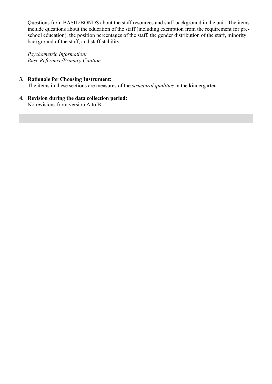Questions from BASIL/BONDS about the staff resources and staff background in the unit. The items include questions about the education of the staff (including exemption from the requirement for preschool education), the position percentages of the staff, the gender distribution of the staff, minority background of the staff, and staff stability.

*Psychometric Information: Base Reference/Primary Citation:*

# **3. Rationale for Choosing Instrument:**

The items in these sections are measures of the *structural qualities* in the kindergarten.

**4. Revision during the data collection period:** No revisions from version A to B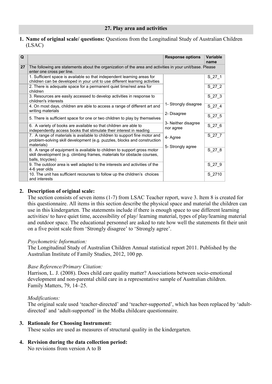<span id="page-17-0"></span>**1. Name of original scale/ questions:** Questions from the Longitudinal Study of Australian Children (LSAC)

| Q  |                                                                                                                                                                          | <b>Response options</b>          | <b>Variable</b><br>name |
|----|--------------------------------------------------------------------------------------------------------------------------------------------------------------------------|----------------------------------|-------------------------|
| 27 | The following are statements about the organization of the area and activities in your unit/base. Please<br>enter one cross per line.                                    |                                  |                         |
|    | 1. Sufficient space is available so that independent learning areas for<br>children can be developed in your unit to use different learning activities                   |                                  | $S_2$ 27_1              |
|    | 2. There is adequate space for a permanent quiet time/rest area for<br>children                                                                                          |                                  | $S_27_2$                |
|    | 3. Resources are easily accessed to develop activities in response to<br>children's interests                                                                            |                                  | $S_2$ 27 $3$            |
|    | 4. On most days, children are able to access a range of different art and<br>writing materials                                                                           | 1- Strongly disagree             | S 27 4                  |
|    | 5. There is sufficient space for one or two children to play by themselves                                                                                               | 2- Disagree                      | $S_27_5$                |
|    | 6. A variety of books are available so that children are able to<br>independently access books that stimulate their interest in reading                                  | 3- Neither disagree<br>nor agree | $S_27_6$                |
|    | 7. A range of materials is available to children to support fine motor and<br>problem-solving skill development (e.g. puzzles, blocks and construction<br>materials)     | 4- Agree                         | $S_27_7$                |
|    | 8. A range of equipment is available to children to support gross motor<br>skill development (e.g. climbing frames, materials for obstacle courses,<br>balls, tricycles) | 5- Strongly agree                | $S_27_8$                |
|    | 9. The outdoor area is well adapted to the interests and activities of the<br>4-6 year olds                                                                              |                                  | $S_2$ 27 $9$            |
|    | 10. The unit has sufficient recourses to follow up the children's choices<br>and interests                                                                               |                                  | S 2710                  |

# **2. Description of original scale:**

The section consists of seven items (1-7) from LSAC Teacher report, wave 3. Item 8 is created for this questionnaire. All items in this section describe the physical space and material the children can use in this kindergarten. The statements include if there is enough space to use different learning activities/ to have quiet time, accessibility of play/ learning material, types of play/learning material and outdoor space. The educational personnel are asked to rate how well the statements fit their unit on a five point scale from 'Strongly disagree' to 'Strongly agree'.

# *Psychometric Information:*

The Longitudinal Study of Australian Children Annual statistical report 2011. Published by the Australian Institute of Family Studies, 2012, 100 pp.

# *Base Reference/Primary Citation:*

Harrison, L. J. (2008). Does child care quality matter? Associations between socio-emotional development and non-parental child care in a representative sample of Australian children. Family Matters, 79, 14–25.

# *Modifications:*

The original scale used 'teacher-directed' and 'teacher-supported', which has been replaced by 'adultdirected' and 'adult-supported' in the MoBa childcare questionnaire.

# **3. Rationale for Choosing Instrument:**

These scales are used as measures of structural quality in the kindergarten.

# **4. Revision during the data collection period:**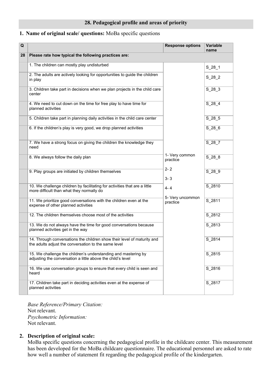# <span id="page-19-0"></span>**1. Name of original scale/ questions:** MoBa specific questions

| Q  |                                                                                                                                 | <b>Response options</b>                                     | Variable<br>name |
|----|---------------------------------------------------------------------------------------------------------------------------------|-------------------------------------------------------------|------------------|
| 28 | Please rate how typical the following practices are:                                                                            |                                                             |                  |
|    | 1. The children can mostly play undisturbed                                                                                     |                                                             | $S_28_1$         |
|    | 2. The adults are actively looking for opportunities to guide the children<br>in play                                           |                                                             | $S_28_2$         |
|    | 3. Children take part in decisions when we plan projects in the child care<br>center                                            |                                                             | S 28 3           |
|    | 4. We need to cut down on the time for free play to have time for<br>planned activities                                         |                                                             | $S_28_4$         |
|    | 5. Children take part in planning daily activities in the child care center                                                     |                                                             | $S_28_5$         |
|    | 6. If the children's play is very good, we drop planned activities                                                              |                                                             | $S_28_6$         |
|    | 7. We have a strong focus on giving the children the knowledge they<br>need                                                     |                                                             | S 28 7           |
|    | 8. We always follow the daily plan                                                                                              | 1- Very common<br>practice<br>$2 - 2$<br>$3 - 3$<br>$4 - 4$ | S 28 8           |
|    | 9. Play groups are initiated by children themselves                                                                             |                                                             | $S_28_9$         |
|    | 10. We challenge children by facilitating for activities that are a little<br>more difficult than what they normally do         |                                                             | S_2810           |
|    | 11. We prioritize good conversations with the children even at the<br>expense of other planned activities                       | 5- Very uncommon<br>practice                                | S_2811           |
|    | 12. The children themselves choose most of the activities                                                                       |                                                             | S 2812           |
|    | 13. We do not always have the time for good conversations because<br>planned activities get in the way                          |                                                             | S_2813           |
|    | 14. Through conversations the children show their level of maturity and<br>the adults adjust the conversation to the same level |                                                             | S_2814           |
|    | 15. We challenge the children's understanding and mastering by<br>adjusting the conversation a little above the child's level   |                                                             | $S_2815$         |
|    | 16. We use conversation groups to ensure that every child is seen and<br>heard                                                  |                                                             | S 2816           |
|    | 17. Children take part in deciding activities even at the expense of<br>planned activities                                      |                                                             | S_2817           |

*Base Reference/Primary Citation:* Not relevant. *Psychometric Information:* Not relevant.

# **2. Description of original scale:**

MoBa specific questions concerning the pedagogical profile in the childcare center. This measurement has been developed for the MoBa childcare questionnaire. The educational personnel are asked to rate how well a number of statement fit regarding the pedagogical profile of the kindergarten.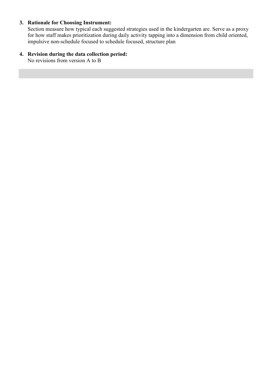# **3. Rationale for Choosing Instrument:**

Section measure how typical each suggested strategies used in the kindergarten are. Serve as a proxy for how staff makes prioritization during daily activity tapping into a dimension from child oriented, impulsive non-schedule focused to schedule focused, structure plan

# **4. Revision during the data collection period:**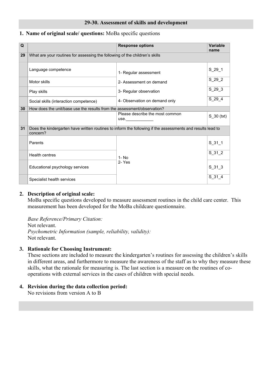#### **29-30. Assessment of skills and development**

# <span id="page-21-0"></span>**1. Name of original scale/ questions:** MoBa specific questions

| Q  |                                                                             | <b>Response options</b>                                                                                    | <b>Variable</b><br>name |  |
|----|-----------------------------------------------------------------------------|------------------------------------------------------------------------------------------------------------|-------------------------|--|
| 29 | What are your routines for assessing the following of the children's skills |                                                                                                            |                         |  |
|    | Language competence                                                         | 1- Regular assessment                                                                                      | $S_2$ 29_1              |  |
|    | Motor skills                                                                | 2- Assessment on demand                                                                                    | $S_29_2$                |  |
|    | Play skills                                                                 | 3- Regular observation                                                                                     | $S_29_3$                |  |
|    | Social skills (interaction competence)                                      | 4- Observation on demand only                                                                              | $S_2$ 29_4              |  |
| 30 | How does the unit/base use the results from the assessment/observation?     |                                                                                                            |                         |  |
|    |                                                                             | Please describe the most common<br>use.                                                                    | S 30 (txt)              |  |
| 31 | concern?                                                                    | Does the kindergarten have written routines to inform the following if the assessments and results lead to |                         |  |
|    | Parents                                                                     |                                                                                                            | $S_31_1$                |  |
|    | <b>Health centres</b>                                                       | $1 - No$                                                                                                   | $S_31_2$                |  |
|    | Educational psychology services                                             | 2-Yes                                                                                                      | $S_31_3$                |  |
|    | Specialist health services                                                  |                                                                                                            | $S_31_4$                |  |

# **2. Description of original scale:**

MoBa specific questions developed to measure assessment routines in the child care center. This measurement has been developed for the MoBa childcare questionnaire.

*Base Reference/Primary Citation:* Not relevant. *Psychometric Information (sample, reliability, validity):* Not relevant.

# **3. Rationale for Choosing Instrument:**

These sections are included to measure the kindergarten's routines for assessing the children's skills in different areas, and furthermore to measure the awareness of the staff as to why they measure these skills, what the rationale for measuring is. The last section is a measure on the routines of cooperations with external services in the cases of children with special needs.

# **4. Revision during the data collection period:**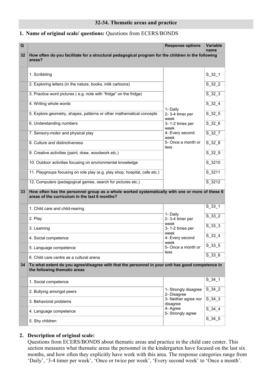#### <span id="page-22-0"></span>**1. Name of original scale/ questions:** Questions from ECERS/BONDS

| Q               |                                                                                                                                                 | <b>Response options</b>             | <b>Variable</b><br>name |
|-----------------|-------------------------------------------------------------------------------------------------------------------------------------------------|-------------------------------------|-------------------------|
| 32 <sub>2</sub> | How often do you facilitate for a structural pedagogical program for the children in the following<br>areas?                                    |                                     |                         |
|                 |                                                                                                                                                 |                                     |                         |
|                 | 1. Scribbling                                                                                                                                   |                                     | $S_32_1$                |
|                 | 2. Exploring letters (in the nature, books, milk cartoons)                                                                                      |                                     | $S_32_2$                |
|                 | 3. Practice word pictures (e.g. note with "fridge" on the fridge)                                                                               |                                     | $S_32_3$                |
|                 | 4. Writing whole words                                                                                                                          | 1- Daily                            | $S_32_4$                |
|                 | 5. Explore geometry, shapes, patterns or other mathematical concepts                                                                            | 2-3-4 timer per<br>week             | $S_32_5$                |
|                 | 6. Understanding numbers                                                                                                                        | 3-1-2 times per<br>week             | $S_32_6$                |
|                 | 7. Sensory-motor and physical play                                                                                                              | 4- Every second<br>week             | $S_32_7$                |
|                 | 8. Culture and distinctiveness                                                                                                                  | 5- Once a month or<br>less          | $S_32_8$                |
|                 | 9. Creative activities (paint, draw, woodwork etc.)                                                                                             |                                     | $S_32_9$                |
|                 | 10. Outdoor activities focusing on environmental knowledge                                                                                      |                                     | S_3210                  |
|                 | 11. Playgroups focusing on role play (e.g. play shop, hospital, cafe etc.)                                                                      |                                     | S_3211                  |
|                 | 12. Computers (pedagogical games, search for pictures etc.)                                                                                     |                                     | S_3212                  |
| 33              | How often has the personnel group as a whole worked systematically with one or more of these 6<br>areas of the curriculum in the last 6 months? |                                     |                         |
|                 |                                                                                                                                                 |                                     |                         |
|                 | 1. Child care and child-rearing                                                                                                                 | 1- Daily                            | $S_33_1$                |
|                 | 2. Play                                                                                                                                         | 2-3-4 timer per                     | $S_33_2$                |
|                 | 3. Learning                                                                                                                                     | week<br>3-1-2 times per             | $S_33_3$                |
|                 | 4. Social competence                                                                                                                            | week<br>4- Every second             | S 33 4                  |
|                 | 5. Language competence                                                                                                                          | week<br>5- Once a month or<br>less  | $S_{33-5}$              |
|                 | 6. Child care centre as a cultural arena                                                                                                        |                                     | $S_33_6$                |
| 34              | To what extent do you agree/disagree with that the personnel in your unit has good competence in<br>the following thematic areas                |                                     |                         |
|                 |                                                                                                                                                 |                                     | $S_34_1$                |
|                 | 1. Social competence                                                                                                                            |                                     |                         |
|                 | 2. Bullying amongst peers                                                                                                                       | 1- Strongly disagree<br>2- Disagree | $S_34_2$                |
|                 | 3. Behavioral problems                                                                                                                          | 3- Neither agree nor<br>disagree    | $S_34_3$                |
|                 | 4. Language competence                                                                                                                          | 4- Agree<br>5- Strongly agree       | $S_$ 34 $_4$            |
|                 | 5. Shy children                                                                                                                                 |                                     | $S_34_5$                |

# **2. Description of original scale:**

Questions from ECERS/BONDS about thematic areas and practice in the child care center. This section measures what thematic areas the personnel in the kindergarten have focused on the last six months, and how often they explicitly have work with this area. The response categories range from 'Daily', '3-4 timer per week', 'Once or twice per week', 'Every second week' to 'Once a month'.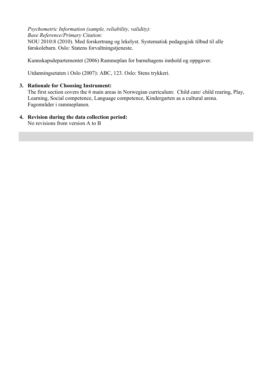*Psychometric Information (sample, reliability, validity): Base Reference/Primary Citation:* NOU 2010:8 (2010). Med forskertrang og lekelyst. Systematisk pedagogisk tilbud til alle førskolebarn. Oslo: Statens forvaltningstjeneste.

Kunnskapsdepartementet (2006) Rammeplan for barnehagens innhold og oppgaver.

Utdanningsetaten i Oslo (2007): ABC, 123. Oslo: Stens trykkeri.

# **3. Rationale for Choosing Instrument:**

The first section covers the 6 main areas in Norwegian curriculum: Child care/ child rearing, Play, Learning, Social competence, Language competence, Kindergarten as a cultural arena. Fagområder i rammeplanen.

# **4. Revision during the data collection period:**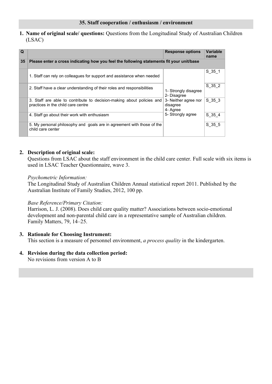# <span id="page-24-0"></span>**1. Name of original scale/ questions:** Questions from the Longitudinal Study of Australian Children (LSAC)

| Q  |                                                                                                             | <b>Response options</b>                                                                                  | Variable<br>name |
|----|-------------------------------------------------------------------------------------------------------------|----------------------------------------------------------------------------------------------------------|------------------|
| 35 | Please enter a cross indicating how you feel the following statements fit your unit/base                    |                                                                                                          |                  |
|    | 1. Staff can rely on colleagues for support and assistance when needed                                      |                                                                                                          | S 35 1           |
|    | 2. Staff have a clear understanding of their roles and responsibilities                                     | 1- Strongly disagree<br>2- Disagree<br>3- Neither agree nor<br>disagree<br>4- Agree<br>5- Strongly agree | S 35 2           |
|    | 3. Staff are able to contribute to decision-making about policies and<br>practices in the child care centre |                                                                                                          | S 35 3           |
|    | 4. Staff go about their work with enthusiasm                                                                |                                                                                                          | S 35 4           |
|    | 5. My personal philosophy and goals are in agreement with those of the<br>child care center                 |                                                                                                          | S 35 5           |

# **2. Description of original scale:**

Questions from LSAC about the staff environment in the child care center. Full scale with six items is used in LSAC Teacher Questionnaire, wave 3.

# *Psychometric Information:*

The Longitudinal Study of Australian Children Annual statistical report 2011. Published by the Australian Institute of Family Studies, 2012, 100 pp.

# *Base Reference/Primary Citation:*

Harrison, L. J. (2008). Does child care quality matter? Associations between socio-emotional development and non-parental child care in a representative sample of Australian children. Family Matters, 79, 14–25.

# **3. Rationale for Choosing Instrument:**

This section is a measure of personnel environment, *a process quality* in the kindergarten.

# **4. Revision during the data collection period:**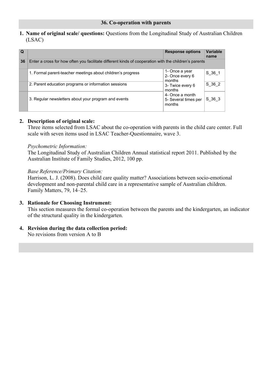<span id="page-25-0"></span>**1. Name of original scale/ questions:** Questions from the Longitudinal Study of Australian Children (LSAC)

| Q  |                                                                                                       | <b>Response options</b>                           | <b>Variable</b><br>name |
|----|-------------------------------------------------------------------------------------------------------|---------------------------------------------------|-------------------------|
| 36 | Enter a cross for how often you facilitate different kinds of cooperation with the children's parents |                                                   |                         |
|    | 1. Formal parent-teacher meetings about children's progress                                           | 1- Once a year<br>2- Once every 6<br>months       | S 36 1                  |
|    | 2. Parent education programs or information sessions                                                  | 3- Twice every 6<br>months                        | S 36 2                  |
|    | 3. Regular newsletters about your program and events                                                  | 4- Once a month<br>5- Several times per<br>months | S 36 3                  |

# **2. Description of original scale:**

Three items selected from LSAC about the co-operation with parents in the child care center. Full scale with seven items used in LSAC Teacher-Questionnaire, wave 3.

# *Psychometric Information:*

The Longitudinal Study of Australian Children Annual statistical report 2011. Published by the Australian Institute of Family Studies, 2012, 100 pp.

# *Base Reference/Primary Citation:*

Harrison, L. J. (2008). Does child care quality matter? Associations between socio-emotional development and non-parental child care in a representative sample of Australian children. Family Matters, 79, 14–25.

# **3. Rationale for Choosing Instrument:**

This section measures the formal co-operation between the parents and the kindergarten, an indicator of the structural quality in the kindergarten.

# **4. Revision during the data collection period:**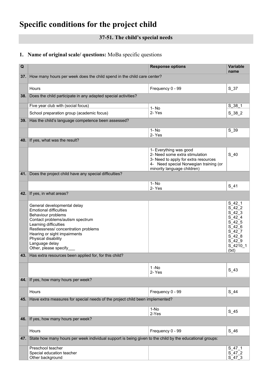# <span id="page-26-1"></span><span id="page-26-0"></span>**Specific conditions for the project child**

# **37-51. The child's special needs**

# **1. Name of original scale/ questions:** MoBa specific questions

| $\mathbf Q$ |                                                                                                                                                                                                                                                                                           | <b>Response options</b>                                                                                                                         | Variable<br>name                                                                                                    |
|-------------|-------------------------------------------------------------------------------------------------------------------------------------------------------------------------------------------------------------------------------------------------------------------------------------------|-------------------------------------------------------------------------------------------------------------------------------------------------|---------------------------------------------------------------------------------------------------------------------|
| 37.         | How many hours per week does the child spend in the child care center?                                                                                                                                                                                                                    |                                                                                                                                                 |                                                                                                                     |
|             | Hours                                                                                                                                                                                                                                                                                     | Frequency 0 - 99                                                                                                                                | S 37                                                                                                                |
| 38.         | Does the child participate in any adapted special activities?                                                                                                                                                                                                                             |                                                                                                                                                 |                                                                                                                     |
|             | Five year club with (social focus)                                                                                                                                                                                                                                                        |                                                                                                                                                 | S 38 1                                                                                                              |
|             | School preparation group (academic focus)                                                                                                                                                                                                                                                 | 1-No<br>2- Yes                                                                                                                                  | $S_38_2$                                                                                                            |
| 39.         | Has the child's language competence been assessed?                                                                                                                                                                                                                                        |                                                                                                                                                 |                                                                                                                     |
|             |                                                                                                                                                                                                                                                                                           | 1- No                                                                                                                                           | $S_3$                                                                                                               |
| 40.         | If yes, what was the result?                                                                                                                                                                                                                                                              | 2-Yes                                                                                                                                           |                                                                                                                     |
|             |                                                                                                                                                                                                                                                                                           | 1- Everything was good                                                                                                                          |                                                                                                                     |
|             |                                                                                                                                                                                                                                                                                           | 2- Need some extra stimulation<br>3- Need to apply for extra resources<br>4- Need special Norwegian training (or<br>minority language children) | $S_40$                                                                                                              |
| 41.         | Does the project child have any special difficulties?                                                                                                                                                                                                                                     |                                                                                                                                                 |                                                                                                                     |
|             |                                                                                                                                                                                                                                                                                           | 1-No<br>2- Yes                                                                                                                                  | $S_41$                                                                                                              |
| 42.         | If yes, in what areas?                                                                                                                                                                                                                                                                    |                                                                                                                                                 |                                                                                                                     |
|             | General developmental delay<br><b>Emotional difficulties</b><br>Behaviour problems<br>Contact problems/autism spectrum<br>Learning difficulties<br>Restlessness/ concentration problems<br>Hearing or sight impairments<br>Physical disability<br>Language delay<br>Other, please specify |                                                                                                                                                 | S 42 1<br>S 42 2<br>$S_42_3$<br>S 42 4<br>$S_42_5$<br>S 42 6<br>$S_42_7$<br>S 42 8<br>S 42 9<br>$S_4210_1$<br>(txt) |
| 43.         | Has extra resources been applied for, for this child?                                                                                                                                                                                                                                     |                                                                                                                                                 |                                                                                                                     |
|             |                                                                                                                                                                                                                                                                                           | $1 - No$<br>2-Yes                                                                                                                               | $S_43$                                                                                                              |
|             | 44. If yes, how many hours per week?                                                                                                                                                                                                                                                      |                                                                                                                                                 |                                                                                                                     |
|             | Hours                                                                                                                                                                                                                                                                                     | Frequency 0 - 99                                                                                                                                | $S_44$                                                                                                              |
| 45.         | Have extra measures for special needs of the project child been implemented?                                                                                                                                                                                                              |                                                                                                                                                 |                                                                                                                     |
|             |                                                                                                                                                                                                                                                                                           | 1-No<br>2-Yes                                                                                                                                   | $S_45$                                                                                                              |
| 46.         | If yes, how many hours per week?                                                                                                                                                                                                                                                          |                                                                                                                                                 |                                                                                                                     |
|             | Hours                                                                                                                                                                                                                                                                                     | Frequency 0 - 99                                                                                                                                | $S_46$                                                                                                              |
| 47.         | State how many hours per week individual support is being given to the child by the educational groups:                                                                                                                                                                                   |                                                                                                                                                 |                                                                                                                     |
|             | Preschool teacher<br>Special education teacher<br>Other background                                                                                                                                                                                                                        |                                                                                                                                                 | S 47 1<br>S 47 2<br>S 47 3                                                                                          |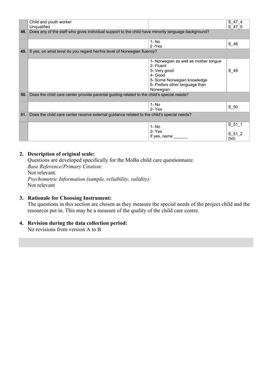|     | Child and youth worker                                                                             |                                       | S 47 4     |
|-----|----------------------------------------------------------------------------------------------------|---------------------------------------|------------|
|     | Unqualified                                                                                        |                                       | S 47 5     |
| 48. | Does any of the staff who gives individual support to the child have minority language background? |                                       |            |
|     |                                                                                                    |                                       |            |
|     |                                                                                                    |                                       |            |
|     |                                                                                                    | $1 - No$                              | $S_48$     |
|     |                                                                                                    | 2-Yes                                 |            |
| 49. | If yes, on what level do you regard her/his level of Norwegian fluency?                            |                                       |            |
|     |                                                                                                    |                                       |            |
|     |                                                                                                    | 1- Norwegian as well as mother tongue |            |
|     |                                                                                                    |                                       |            |
|     |                                                                                                    | 2- Fluent                             |            |
|     |                                                                                                    | 3- Very good                          | S 49       |
|     |                                                                                                    | 4- Good                               |            |
|     |                                                                                                    | 5- Some Norwegian knowledge           |            |
|     |                                                                                                    | 6- Prefers other language than        |            |
|     |                                                                                                    |                                       |            |
|     |                                                                                                    | Norwegian                             |            |
| 50. | Does the child care center provide parental guiding related to the child's special needs?          |                                       |            |
|     |                                                                                                    |                                       |            |
|     |                                                                                                    | $1 - No$                              |            |
|     |                                                                                                    | 2- Yes                                | S 50       |
|     |                                                                                                    |                                       |            |
| 51. | Does the child care center receive external guidance related to the child's special needs?         |                                       |            |
|     |                                                                                                    |                                       |            |
|     |                                                                                                    |                                       | $S_{51}$ 1 |
|     |                                                                                                    | 1-No                                  |            |
|     |                                                                                                    | 2-Yes                                 | S 51 2     |
|     |                                                                                                    | If yes, name                          |            |
|     |                                                                                                    |                                       | (txt)      |

# **2. Description of original scale:**

 Questions are developed specifically for the MoBa child care questionnaire. *Base Reference/Primary Citation:*

 Not relevant. *Psychometric Information (sample, reliability, validity):* Not relevant

# **3. Rationale for Choosing Instrument:**

The questions in this section are chosen as they measure the special needs of the project child and the resources put in. This may be a measure of the quality of the child care centre.

# **4. Revision during the data collection period:**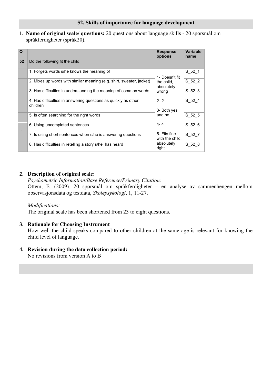<span id="page-28-0"></span>**1. Name of original scale/ questions:** 20 questions about language skills - 20 spørsmål om språkferdigheter (språk20).

| Q  |                                                                            | <b>Response</b><br>options      | <b>Variable</b><br>name |
|----|----------------------------------------------------------------------------|---------------------------------|-------------------------|
| 52 | Do the following fit the child:                                            |                                 |                         |
|    | 1. Forgets words s/he knows the meaning of                                 | 1- Doesn't fit                  | S 52 1                  |
|    | 2. Mixes up words with similar meaning (e.g. shirt, sweater, jacket)       | the child.<br>absolutely        | S 52 2                  |
|    | 3. Has difficulties in understanding the meaning of common words           | wrong                           | S 52 3                  |
|    | 4. Has difficulties in answering questions as quickly as other<br>children | $2 - 2$<br>3- Both yes          | S 52 4                  |
|    | 5. Is often searching for the right words                                  | and no                          | S 52 5                  |
|    | 6. Using uncompleted sentences                                             | $4 - 4$                         | S 52 6                  |
|    | 7. Is using short sentences when s/he is answering questions               | 5- Fits fine<br>with the child, | S 52 7                  |
|    | 8. Has difficulties in retelling a story s/he has heard                    | absolutely<br>right             | S 52 8                  |

# **2. Description of original scale:**

*Psychometric Information/Base Reference/Primary Citation:*

Ottem, E. (2009). 20 spørsmål om språkferdigheter – en analyse av sammenhengen mellom observasjonsdata og testdata, *Skolepsykologi*, 1, 11-27.

# *Modifications:*

The original scale has been shortened from 23 to eight questions.

# **3. Rationale for Choosing Instrument**

How well the child speaks compared to other children at the same age is relevant for knowing the child level of language.

# **4. Revision during the data collection period:**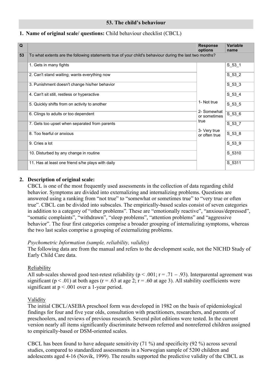# **53. The child's behaviour**

# <span id="page-29-0"></span>**1. Name of original scale/ questions:** Child behaviour checklist (CBCL)

| $\overline{Q}$ |                                                                                                         | <b>Response</b><br>options                 | Variable<br>name |
|----------------|---------------------------------------------------------------------------------------------------------|--------------------------------------------|------------------|
| 53             | To what extents are the following statements true of your child's behaviour during the last two months? |                                            |                  |
|                | 1. Gets in many fights                                                                                  |                                            | $S_53_1$         |
|                | 2. Can't stand waiting; wants everything now                                                            |                                            | $S_53_2$         |
|                | 3. Punishment doesn't change his/her behavior                                                           | 1- Not true<br>2- Somewhat<br>or sometimes | $S_53_3$         |
|                | 4. Can't sit still, restless or hyperactive                                                             |                                            | $S_53_4$         |
|                | 5. Quickly shifts from on activity to another                                                           |                                            | $S_53_5$         |
|                | 6. Clings to adults or too dependent                                                                    |                                            | $S_53_6$         |
|                | 7. Gets too upset when separated from parents                                                           | true                                       | $S_537$          |
|                | 8. Too fearful or anxious                                                                               | 3- Very true<br>or often true              | $S_53_8$         |
|                | 9. Cries a lot                                                                                          |                                            | $S_53_9$         |
|                | 10. Disturbed by any change in routine                                                                  |                                            | S_5310           |
|                | 11. Has at least one friend s/he plays with daily                                                       |                                            | S 5311           |

# **2. Description of original scale:**

CBCL is one of the most frequently used assessments in the collection of data regarding child behavior. Symptoms are divided into externalizing and internalizing problems. Questions are answered using a ranking from "not true" to "somewhat or sometimes true" to "very true or often true". CBCL can be divided into subscales. The empirically-based scales consist of seven categories in addition to a category of "other problems". These are "emotionally reactive", "anxious/depressed", "somatic complaints", "withdrawn", "sleep problems", "attention problems" and "aggressive behavior". The four first categories comprise a broader grouping of internalizing symptoms, whereas the two last scales comprise a grouping of externalizing problems.

# *Psychometric Information (sample, reliability, validity)*

The following data are from the manual and refers to the development scale, not the NICHD Study of Early Child Care data.

# Reliability

All sub-scales showed good test-retest reliability ( $p < .001$ ;  $r = .71 - .93$ ). Interparental agreement was significant ( $p < .01$ ) at both ages ( $r = .63$  at age 2;  $r = .60$  at age 3). All stability coefficients were significant at  $p < .001$  over a 1-year period.

# Validity

The initial CBCL/ASEBA preschool form was developed in 1982 on the basis of epidemiological findings for four and five year olds, consultation with practitioners, researchers, and parents of preschoolers, and reviews of previous research. Several pilot editions were tested. In the current version nearly all items significantly discriminate between referred and nonreferred children assigned to empirically-based or DSM-oriented scales.

CBCL has been found to have adequate sensitivity (71 %) and specificity (92 %) across several studies, compared to standardized assessments in a Norwegian sample of 5200 children and adolescents aged 4-16 (Novik, 1999). The results supported the predictive validity of the CBCL as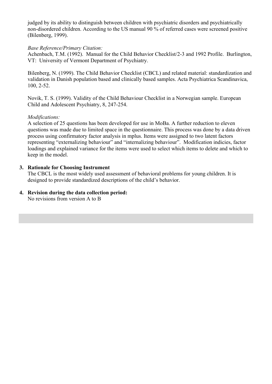judged by its ability to distinguish between children with psychiatric disorders and psychiatrically non-disordered children. According to the US manual 90 % of referred cases were screened positive (Bilenberg, 1999).

# *Base Reference/Primary Citation:*

Achenbach, T.M. (1992). Manual for the Child Behavior Checklist/2-3 and 1992 Profile. Burlington, VT: University of Vermont Department of Psychiatry.

Bilenberg, N. (1999). The Child Behavior Checklist (CBCL) and related material: standardization and validation in Danish population based and clinically based samples. Acta Psychiatrica Scandinavica, 100, 2-52.

Novik, T. S. (1999). Validity of the Child Behaviour Checklist in a Norwegian sample. European Child and Adolescent Psychiatry, 8, 247-254.

# *Modifications:*

A selection of 25 questions has been developed for use in MoBa. A further reduction to eleven questions was made due to limited space in the questionnaire. This process was done by a data driven process using confirmatory factor analysis in mplus. Items were assigned to two latent factors representing "externalizing behaviour" and "internalizing behaviour". Modification indicies, factor loadings and explained variance for the items were used to select which items to delete and which to keep in the model.

# **3. Rationale for Choosing Instrument**

The CBCL is the most widely used assessment of behavioral problems for young children. It is designed to provide standardized descriptions of the child's behavior.

**4. Revision during the data collection period:** No revisions from version A to B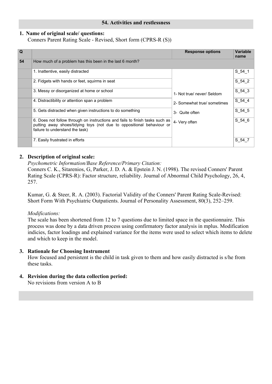# **54. Activities and restlessness**

# <span id="page-31-0"></span>**1. Name of original scale/ questions:**

Conners Parent Rating Scale - Revised, Short form (CPRS-R (S))

| Q  |                                                                                                                                                                                          | <b>Response options</b>                                                                      | Variable<br>name |
|----|------------------------------------------------------------------------------------------------------------------------------------------------------------------------------------------|----------------------------------------------------------------------------------------------|------------------|
| 54 | How much of a problem has this been in the last 6 month?                                                                                                                                 |                                                                                              |                  |
|    | 1. Inattentive, easily distracted                                                                                                                                                        |                                                                                              | S 54 1           |
|    | 2. Fidgets with hands or feet, squirms in seat                                                                                                                                           |                                                                                              | S 54 2           |
|    | 3. Messy or disorganized at home or school                                                                                                                                               | 1- Not true/ never/ Seldom<br>2- Somewhat true/ sometimes<br>3- Quite often<br>4- Very often | S 54 3           |
|    | 4. Distractibility or attention span a problem                                                                                                                                           |                                                                                              | S 54 4           |
|    | 5. Gets distracted when given instructions to do something                                                                                                                               |                                                                                              | S 54 5           |
|    | 6. Does not follow through on instructions and fails to finish tasks such as<br>putting away shoes/tidying toys (not due to oppositional behaviour or<br>failure to understand the task) |                                                                                              | S 54 6           |
|    | 7. Easily frustrated in efforts                                                                                                                                                          |                                                                                              | S 54_7           |

# **2. Description of original scale:**

*Psychometric Information/Base Reference/Primary Citation:*

Conners C. K., Sitarenios, G, Parker, J. D. A. & Epstein J. N. (1998). The revised Conners' Parent Rating Scale (CPRS-R): Factor structure, reliability. Journal of Abnormal Child Psychology, 26, 4, 257.

Kumar, G. & Steer, R. A. (2003). Factorial Validity of the Conners' Parent Rating Scale-Revised: Short Form With Psychiatric Outpatients. Journal of Personality Assessment, 80(3), 252–259.

# *Modifications:*

The scale has been shortened from 12 to 7 questions due to limited space in the questionnaire. This process was done by a data driven process using confirmatory factor analysis in mplus. Modification indicies, factor loadings and explained variance for the items were used to select which items to delete and which to keep in the model.

# **3. Rationale for Choosing Instrument**

How focused and persistent is the child in task given to them and how easily distracted is s/he from these tasks.

# **4. Revision during the data collection period:**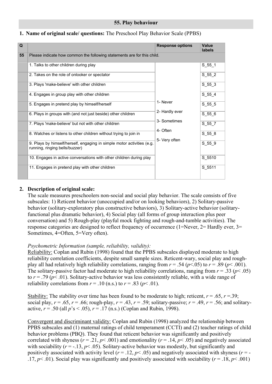<span id="page-32-0"></span>

| 1. Name of original scale/ questions: The Preschool Play Behavior Scale (PPBS) |  |  |  |
|--------------------------------------------------------------------------------|--|--|--|
|--------------------------------------------------------------------------------|--|--|--|

| Q  |                                                                                                          | <b>Response options</b>    | Value<br>labels |
|----|----------------------------------------------------------------------------------------------------------|----------------------------|-----------------|
| 55 | Please indicate how common the following statements are for this child.                                  |                            |                 |
|    | 1. Talks to other children during play                                                                   |                            | $S_55_1$        |
|    | 2. Takes on the role of onlooker or spectator                                                            |                            | S 55 2          |
|    | 3. Plays 'make-believe' with other children                                                              | 1- Never<br>2- Hardly ever | $S_55_3$        |
|    | 4. Engages in group play with other children                                                             |                            | $S_55_4$        |
|    | 5. Engages in pretend play by himself/herself                                                            |                            | $S_55_5$        |
|    | 6. Plays in groups with (and not just beside) other children                                             |                            | S 55 6          |
|    | 7. Plays 'make-believe' but not with other children                                                      | 3- Sometimes               | $S_55_7$        |
|    | 8. Watches or listens to other children without trying to join in                                        | 4- Often                   | $S_55_8$        |
|    | 9. Plays by himself/herself, engaging in simple motor activities (e.g.<br>running, ringing bells/buzzer) | 5- Very often              | S 55 9          |
|    | 10. Engages in active conversations with other children during play                                      |                            | S 5510          |
|    | 11. Engages in pretend play with other children                                                          |                            | S 5511          |

# **2. Description of original scale:**

The scale measures preschoolers non-social and social play behavior. The scale consists of five subscales: 1) Reticent behavior (unoccupied and/or on looking behaviors), 2) Solitary-passive behavior (solitary-exploratory plus constructive behaviors), 3) Solitary-active behavior (solitaryfunctional plus dramatic behavior), 4) Social play (all forms of group interaction plus peer conversation) and 5) Rough-play (playful mock fighting and rough-and-tumble activities). The response categories are designed to reflect frequency of occurrence (1=Never, 2= Hardly ever, 3= Sometimes, 4=Often, 5=Very often).

# *Psychometric Information (sample, reliability, validity):*

Reliability: Coplan and Rubin (1998) found that the PPBS subscales displayed moderate to high reliability correlation coefficients, despite small sample sizes. Reticent-wary, social play and roughplay all had relatively high reliability correlations, ranging from  $r = .54$  ( $p < .05$ ) to  $r = .89$  ( $p < .001$ ). The solitary-passive factor had moderate to high reliability correlations, ranging from  $r = .33$  ( $p < .05$ ) to  $r = .79$  ( $p < .01$ ). Solitary-active behavior was less consistently reliable, with a wide range of reliability correlations from  $r = .10$  (n.s.) to  $r = .83$  ( $p < .01$ ).

Stability: The stability over time has been found to be moderate to high; reticent,  $r = .65$ ,  $r = .39$ ; social play,  $r = .65$ ,  $r = .66$ ; rough-play,  $r = .43$ ,  $r = .59$ ; solitary-passive;  $r = .49$ ,  $r = .56$ ; and solitaryactive,  $r = .50$  (all  $p's < .05$ ),  $r = .17$  (n.s.) (Coplan and Rubin, 1998).

Convergent and discriminant validity: Coplan and Rubin (1998) analyzed the relationship between PPBS subscales and (1) maternal ratings of child temperament (CCTI) and (2) teacher ratings of child behavior problems (PBQ). They found that reticent behavior was significantly and positively correlated with shyness ( $r = .21$ ,  $p < .001$ ) and emotionality ( $r = .14$ ,  $p < .05$ ) and negatively associated with sociability ( $r = -13$ ,  $p < .05$ ). Solitary-active behavior was modestly, but significantly and positively associated with activity level  $(r = .12, p < .05)$  and negatively associated with shyness  $(r = -12, p < .05)$ .17,  $p \le 0.01$ ). Social play was significantly and positively associated with sociability ( $r = 0.18$ ,  $p \le 0.001$ )